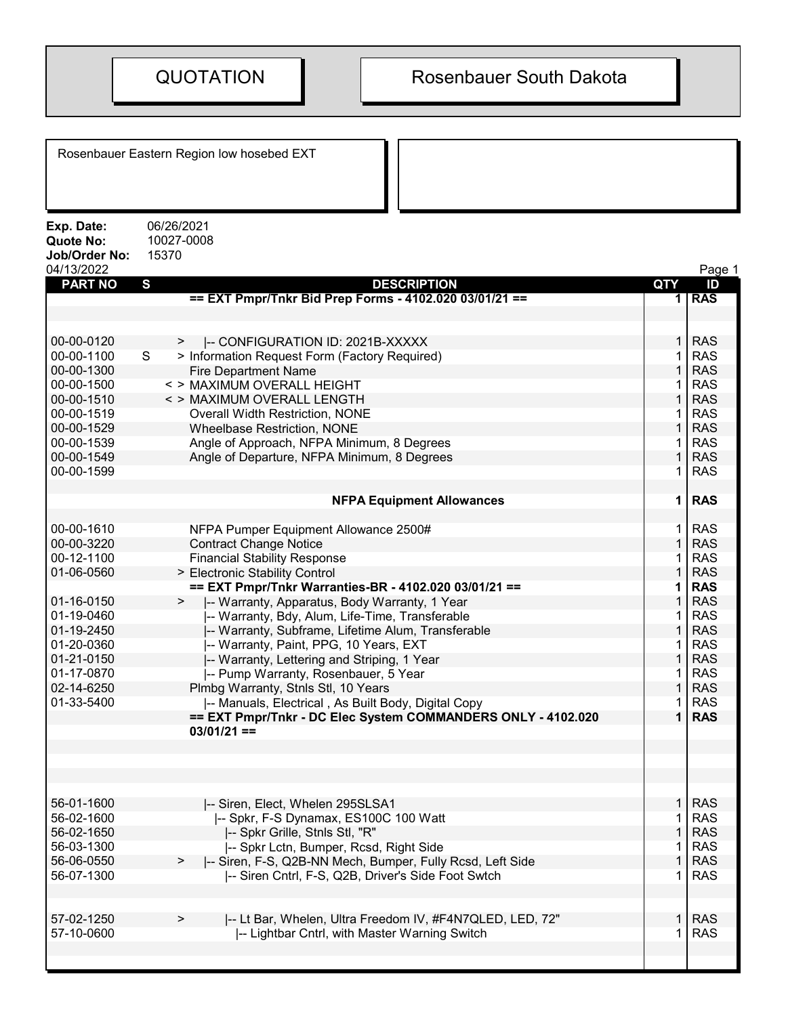|                                                               | Rosenbauer Eastern Region low hosebed EXT                      |     |            |
|---------------------------------------------------------------|----------------------------------------------------------------|-----|------------|
| Exp. Date:<br><b>Quote No:</b><br>Job/Order No:<br>04/13/2022 | 06/26/2021<br>10027-0008<br>15370                              |     | Page 1     |
| <b>PART NO</b>                                                | S<br><b>DESCRIPTION</b>                                        | QTY | ID         |
|                                                               | == EXT Pmpr/Tnkr Bid Prep Forms - 4102.020 03/01/21 ==         | 1 I | <b>RAS</b> |
|                                                               |                                                                |     |            |
|                                                               |                                                                |     |            |
| 00-00-0120                                                    | -- CONFIGURATION ID: 2021B-XXXXX<br>>                          |     | <b>RAS</b> |
| 00-00-1100                                                    | S<br>> Information Request Form (Factory Required)             |     | <b>RAS</b> |
| 00-00-1300                                                    | <b>Fire Department Name</b>                                    |     | <b>RAS</b> |
| 00-00-1500                                                    | < > MAXIMUM OVERALL HEIGHT                                     |     | <b>RAS</b> |
| 00-00-1510                                                    | < > MAXIMUM OVERALL LENGTH                                     |     | <b>RAS</b> |
| 00-00-1519                                                    | Overall Width Restriction, NONE                                |     | <b>RAS</b> |
| 00-00-1529                                                    | <b>Wheelbase Restriction, NONE</b>                             |     | <b>RAS</b> |
| 00-00-1539                                                    | Angle of Approach, NFPA Minimum, 8 Degrees                     |     | <b>RAS</b> |
| 00-00-1549                                                    | Angle of Departure, NFPA Minimum, 8 Degrees                    |     | <b>RAS</b> |
| 00-00-1599                                                    |                                                                |     | <b>RAS</b> |
|                                                               | <b>NFPA Equipment Allowances</b>                               | 1   | <b>RAS</b> |
| 00-00-1610                                                    | NFPA Pumper Equipment Allowance 2500#                          |     | <b>RAS</b> |
| 00-00-3220                                                    | <b>Contract Change Notice</b>                                  |     | <b>RAS</b> |
| 00-12-1100                                                    | <b>Financial Stability Response</b>                            |     | <b>RAS</b> |
| 01-06-0560                                                    | > Electronic Stability Control                                 |     | <b>RAS</b> |
|                                                               | == EXT Pmpr/Tnkr Warranties-BR - 4102.020 03/01/21 ==          |     | <b>RAS</b> |
| 01-16-0150                                                    | -- Warranty, Apparatus, Body Warranty, 1 Year<br>$\geq$        |     | <b>RAS</b> |
| 01-19-0460                                                    | -- Warranty, Bdy, Alum, Life-Time, Transferable                |     | <b>RAS</b> |
| 01-19-2450                                                    | -- Warranty, Subframe, Lifetime Alum, Transferable             |     | <b>RAS</b> |
| 01-20-0360                                                    | -- Warranty, Paint, PPG, 10 Years, EXT                         |     | <b>RAS</b> |
| 01-21-0150                                                    | -- Warranty, Lettering and Striping, 1 Year                    |     | <b>RAS</b> |
| 01-17-0870                                                    | -- Pump Warranty, Rosenbauer, 5 Year                           |     | <b>RAS</b> |
| 02-14-6250                                                    | Plmbg Warranty, Stnls Stl, 10 Years                            |     | <b>RAS</b> |
| 01-33-5400                                                    | -- Manuals, Electrical, As Built Body, Digital Copy            |     | <b>RAS</b> |
|                                                               | == EXT Pmpr/Tnkr - DC Elec System COMMANDERS ONLY - 4102.020   |     | <b>RAS</b> |
|                                                               | $03/01/21 ==$                                                  |     |            |
|                                                               |                                                                |     |            |
|                                                               |                                                                |     |            |
|                                                               |                                                                |     |            |
|                                                               |                                                                |     |            |
| 56-01-1600                                                    | -- Siren, Elect, Whelen 295SLSA1                               |     | <b>RAS</b> |
| 56-02-1600                                                    | I-- Spkr, F-S Dynamax, ES100C 100 Watt                         |     | <b>RAS</b> |
| 56-02-1650                                                    | -- Spkr Grille, Stnls Stl, "R"                                 |     | <b>RAS</b> |
| 56-03-1300                                                    | -- Spkr Lctn, Bumper, Rcsd, Right Side                         |     | <b>RAS</b> |
| 56-06-0550                                                    | -- Siren, F-S, Q2B-NN Mech, Bumper, Fully Rcsd, Left Side<br>> |     | <b>RAS</b> |
| 56-07-1300                                                    | -- Siren Cntrl, F-S, Q2B, Driver's Side Foot Swtch             |     | <b>RAS</b> |
|                                                               |                                                                |     |            |
|                                                               |                                                                |     |            |
| 57-02-1250                                                    | I-- Lt Bar, Whelen, Ultra Freedom IV, #F4N7QLED, LED, 72"      |     | <b>RAS</b> |
| 57-10-0600                                                    | -- Lightbar Cntrl, with Master Warning Switch                  |     | <b>RAS</b> |
|                                                               |                                                                |     |            |
|                                                               |                                                                |     |            |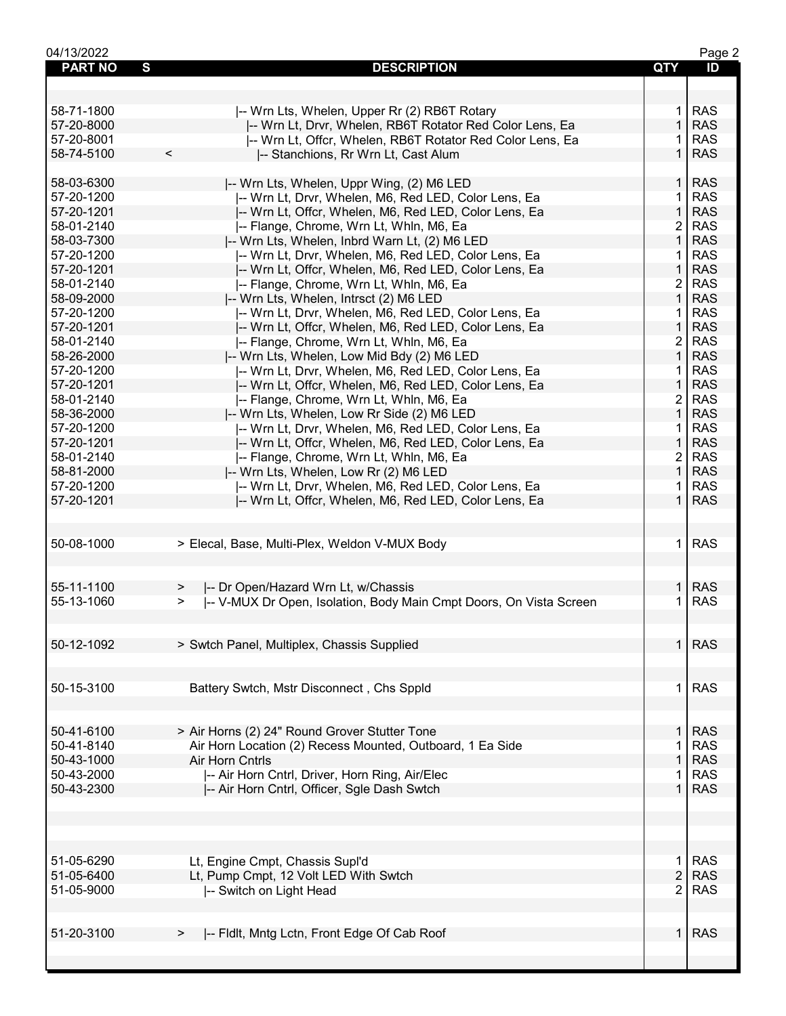| 04/13/2022     |                                                                          |                | Page 2     |
|----------------|--------------------------------------------------------------------------|----------------|------------|
| <b>PART NO</b> | S<br><b>DESCRIPTION</b>                                                  | <b>QTY</b>     | ID         |
|                |                                                                          |                |            |
|                |                                                                          |                |            |
| 58-71-1800     | -- Wrn Lts, Whelen, Upper Rr (2) RB6T Rotary                             | 1              | <b>RAS</b> |
| 57-20-8000     | -- Wrn Lt, Drvr, Whelen, RB6T Rotator Red Color Lens, Ea                 | $\mathbf{1}$   | <b>RAS</b> |
| 57-20-8001     | -- Wrn Lt, Offcr, Whelen, RB6T Rotator Red Color Lens, Ea                |                | <b>RAS</b> |
|                | $\,<$                                                                    | $\mathbf{1}$   | <b>RAS</b> |
| 58-74-5100     | -- Stanchions, Rr Wrn Lt, Cast Alum                                      |                |            |
|                |                                                                          |                |            |
| 58-03-6300     | -- Wrn Lts, Whelen, Uppr Wing, (2) M6 LED                                | 1 <sup>1</sup> | <b>RAS</b> |
| 57-20-1200     | -- Wrn Lt, Drvr, Whelen, M6, Red LED, Color Lens, Ea                     |                | <b>RAS</b> |
| 57-20-1201     | -- Wrn Lt, Offcr, Whelen, M6, Red LED, Color Lens, Ea                    | $\mathbf{1}$   | <b>RAS</b> |
| 58-01-2140     | -- Flange, Chrome, Wrn Lt, Whln, M6, Ea                                  | 2              | <b>RAS</b> |
| 58-03-7300     | -- Wrn Lts, Whelen, Inbrd Warn Lt, (2) M6 LED                            | $\mathbf{1}$   | <b>RAS</b> |
| 57-20-1200     | -- Wrn Lt, Drvr, Whelen, M6, Red LED, Color Lens, Ea                     | 1.             | <b>RAS</b> |
| 57-20-1201     | -- Wrn Lt, Offcr, Whelen, M6, Red LED, Color Lens, Ea                    | $\mathbf{1}$   | <b>RAS</b> |
| 58-01-2140     | -- Flange, Chrome, Wrn Lt, Whln, M6, Ea                                  | $\overline{2}$ | <b>RAS</b> |
| 58-09-2000     | -- Wrn Lts, Whelen, Intrsct (2) M6 LED                                   | $\mathbf{1}$   | <b>RAS</b> |
| 57-20-1200     | -- Wrn Lt, Drvr, Whelen, M6, Red LED, Color Lens, Ea                     | 1.             | <b>RAS</b> |
| 57-20-1201     | -- Wrn Lt, Offcr, Whelen, M6, Red LED, Color Lens, Ea                    | $\mathbf{1}$   | <b>RAS</b> |
| 58-01-2140     | -- Flange, Chrome, Wrn Lt, Whln, M6, Ea                                  | $\overline{2}$ | <b>RAS</b> |
| 58-26-2000     | -- Wrn Lts, Whelen, Low Mid Bdy (2) M6 LED                               | $\mathbf{1}$   | <b>RAS</b> |
| 57-20-1200     | I-- Wrn Lt, Drvr, Whelen, M6, Red LED, Color Lens, Ea                    | 1.             | <b>RAS</b> |
| 57-20-1201     | -- Wrn Lt, Offcr, Whelen, M6, Red LED, Color Lens, Ea                    | $\mathbf{1}$   | <b>RAS</b> |
| 58-01-2140     | I-- Flange, Chrome, Wrn Lt, Whln, M6, Ea                                 | $\overline{2}$ | <b>RAS</b> |
| 58-36-2000     | -- Wrn Lts, Whelen, Low Rr Side (2) M6 LED                               | $\mathbf{1}$   | <b>RAS</b> |
| 57-20-1200     | -- Wrn Lt, Drvr, Whelen, M6, Red LED, Color Lens, Ea                     | 1.             | <b>RAS</b> |
| 57-20-1201     | -- Wrn Lt, Offcr, Whelen, M6, Red LED, Color Lens, Ea                    | $\mathbf{1}$   | <b>RAS</b> |
| 58-01-2140     | -- Flange, Chrome, Wrn Lt, Whln, M6, Ea                                  | $\overline{2}$ | <b>RAS</b> |
| 58-81-2000     | -- Wrn Lts, Whelen, Low Rr (2) M6 LED                                    | $\mathbf{1}$   | <b>RAS</b> |
| 57-20-1200     | -- Wrn Lt, Drvr, Whelen, M6, Red LED, Color Lens, Ea                     | 1.             | <b>RAS</b> |
| 57-20-1201     | -- Wrn Lt, Offcr, Whelen, M6, Red LED, Color Lens, Ea                    | $\mathbf{1}$   | <b>RAS</b> |
|                |                                                                          |                |            |
|                |                                                                          |                |            |
|                |                                                                          | 1.             |            |
| 50-08-1000     | > Elecal, Base, Multi-Plex, Weldon V-MUX Body                            |                | <b>RAS</b> |
|                |                                                                          |                |            |
|                |                                                                          |                |            |
| 55-11-1100     | -- Dr Open/Hazard Wrn Lt, w/Chassis<br>>                                 | 1 <sup>1</sup> | <b>RAS</b> |
| 55-13-1060     | I-- V-MUX Dr Open, Isolation, Body Main Cmpt Doors, On Vista Screen<br>➤ | 1.             | <b>RAS</b> |
|                |                                                                          |                |            |
|                |                                                                          |                |            |
| 50-12-1092     | > Swtch Panel, Multiplex, Chassis Supplied                               | 1 <sup>1</sup> | <b>RAS</b> |
|                |                                                                          |                |            |
|                |                                                                          |                |            |
| 50-15-3100     | Battery Swtch, Mstr Disconnect, Chs Sppld                                | $\mathbf 1$    | <b>RAS</b> |
|                |                                                                          |                |            |
|                |                                                                          |                |            |
| 50-41-6100     | > Air Horns (2) 24" Round Grover Stutter Tone                            | $\mathbf{1}$   | <b>RAS</b> |
| 50-41-8140     | Air Horn Location (2) Recess Mounted, Outboard, 1 Ea Side                | 1              | <b>RAS</b> |
| 50-43-1000     | Air Horn Cntrls                                                          | 1              | <b>RAS</b> |
| 50-43-2000     | -- Air Horn Cntrl, Driver, Horn Ring, Air/Elec                           | 1              | <b>RAS</b> |
| 50-43-2300     | -- Air Horn Cntrl, Officer, Sgle Dash Swtch                              | 1.             | <b>RAS</b> |
|                |                                                                          |                |            |
|                |                                                                          |                |            |
|                |                                                                          |                |            |
|                |                                                                          |                |            |
| 51-05-6290     | Lt, Engine Cmpt, Chassis Supl'd                                          | $\mathbf{1}$   | <b>RAS</b> |
| 51-05-6400     | Lt, Pump Cmpt, 12 Volt LED With Swtch                                    | $\overline{c}$ | <b>RAS</b> |
| 51-05-9000     | -- Switch on Light Head                                                  | $\overline{2}$ | <b>RAS</b> |
|                |                                                                          |                |            |
|                |                                                                          |                |            |
| 51-20-3100     | -- Fidlt, Mntg Lctn, Front Edge Of Cab Roof<br>⋗                         | 1.             | <b>RAS</b> |
|                |                                                                          |                |            |
|                |                                                                          |                |            |
|                |                                                                          |                |            |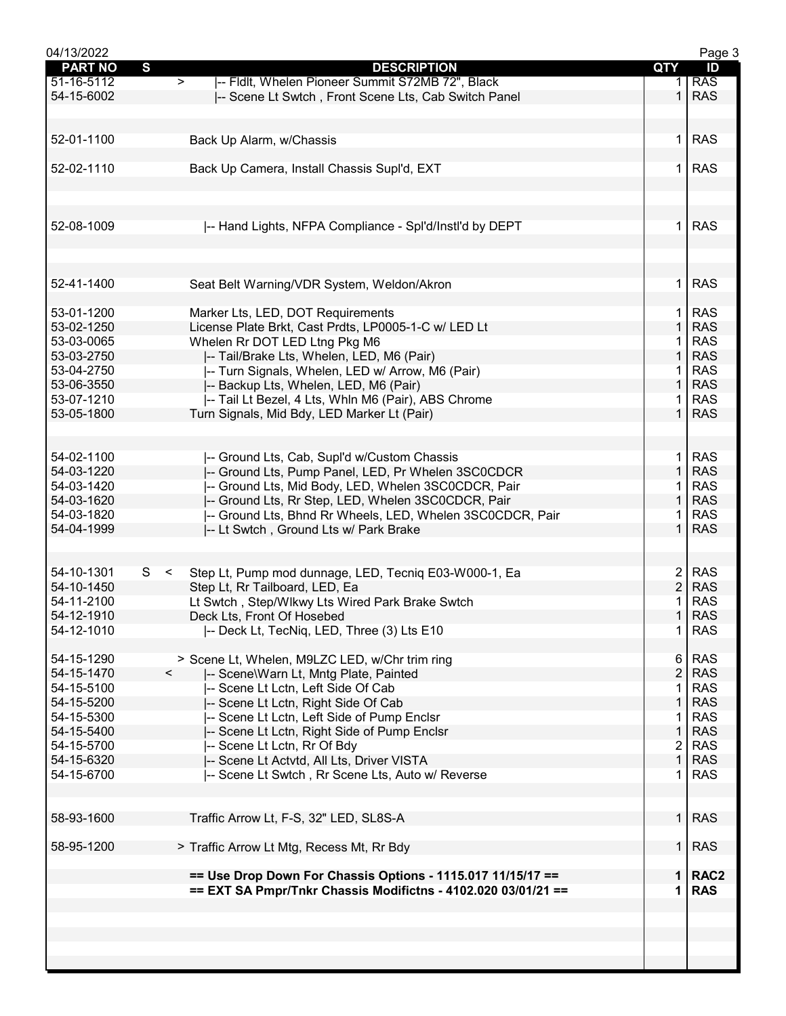| 04/13/2022     |                                                                       |                | Page 3     |
|----------------|-----------------------------------------------------------------------|----------------|------------|
| <b>PART NO</b> | S<br><b>DESCRIPTION</b>                                               | QTY            | ID         |
| 51-16-5112     | -- Fldlt, Whelen Pioneer Summit S72MB 72", Black<br>$\geq$            |                | <b>RAS</b> |
| 54-15-6002     | -- Scene Lt Swtch, Front Scene Lts, Cab Switch Panel                  | $\mathbf 1$    | <b>RAS</b> |
|                |                                                                       |                |            |
|                |                                                                       |                |            |
|                |                                                                       |                |            |
| 52-01-1100     | Back Up Alarm, w/Chassis                                              | 1.             | <b>RAS</b> |
|                |                                                                       |                |            |
| 52-02-1110     |                                                                       | 1.             | <b>RAS</b> |
|                | Back Up Camera, Install Chassis Supl'd, EXT                           |                |            |
|                |                                                                       |                |            |
|                |                                                                       |                |            |
|                |                                                                       |                |            |
| 52-08-1009     | -- Hand Lights, NFPA Compliance - Spl'd/Instl'd by DEPT               | 1.             | <b>RAS</b> |
|                |                                                                       |                |            |
|                |                                                                       |                |            |
|                |                                                                       |                |            |
|                |                                                                       |                |            |
| 52-41-1400     | Seat Belt Warning/VDR System, Weldon/Akron                            | $\mathbf 1$    | <b>RAS</b> |
|                |                                                                       |                |            |
|                |                                                                       |                |            |
| 53-01-1200     | Marker Lts, LED, DOT Requirements                                     | 1.             | <b>RAS</b> |
| 53-02-1250     | License Plate Brkt, Cast Prdts, LP0005-1-C w/ LED Lt                  | 1              | <b>RAS</b> |
| 53-03-0065     | Whelen Rr DOT LED Ltng Pkg M6                                         |                | <b>RAS</b> |
| 53-03-2750     | -- Tail/Brake Lts, Whelen, LED, M6 (Pair)                             | 1              | <b>RAS</b> |
|                |                                                                       |                |            |
| 53-04-2750     | I-- Turn Signals, Whelen, LED w/ Arrow, M6 (Pair)                     | 1              | <b>RAS</b> |
| 53-06-3550     | -- Backup Lts, Whelen, LED, M6 (Pair)                                 | 1              | <b>RAS</b> |
| 53-07-1210     | -- Tail Lt Bezel, 4 Lts, Whln M6 (Pair), ABS Chrome                   | 1              | <b>RAS</b> |
| 53-05-1800     | Turn Signals, Mid Bdy, LED Marker Lt (Pair)                           | $\mathbf{1}$   | <b>RAS</b> |
|                |                                                                       |                |            |
|                |                                                                       |                |            |
|                |                                                                       |                |            |
| 54-02-1100     | -- Ground Lts, Cab, Supl'd w/Custom Chassis                           | 1.             | <b>RAS</b> |
| 54-03-1220     | -- Ground Lts, Pump Panel, LED, Pr Whelen 3SC0CDCR                    | 1              | <b>RAS</b> |
|                |                                                                       |                |            |
| 54-03-1420     | -- Ground Lts, Mid Body, LED, Whelen 3SC0CDCR, Pair                   | 1              | <b>RAS</b> |
| 54-03-1620     | -- Ground Lts, Rr Step, LED, Whelen 3SC0CDCR, Pair                    | 1              | <b>RAS</b> |
| 54-03-1820     | -- Ground Lts, Bhnd Rr Wheels, LED, Whelen 3SC0CDCR, Pair             |                | <b>RAS</b> |
| 54-04-1999     | -- Lt Swtch, Ground Lts w/ Park Brake                                 | $\mathbf 1$    | <b>RAS</b> |
|                |                                                                       |                |            |
|                |                                                                       |                |            |
|                |                                                                       |                |            |
| 54-10-1301     | S.<br>$\leq$<br>Step Lt, Pump mod dunnage, LED, Tecniq E03-W000-1, Ea | $\overline{2}$ | <b>RAS</b> |
| 54-10-1450     | Step Lt, Rr Tailboard, LED, Ea                                        | $\overline{2}$ | <b>RAS</b> |
| 54-11-2100     | Lt Swtch, Step/Wlkwy Lts Wired Park Brake Swtch                       | 1              | <b>RAS</b> |
|                |                                                                       |                |            |
| 54-12-1910     | Deck Lts, Front Of Hosebed                                            | $\mathbf{1}$   | <b>RAS</b> |
| 54-12-1010     | -- Deck Lt, TecNiq, LED, Three (3) Lts E10                            | 1              | <b>RAS</b> |
|                |                                                                       |                |            |
| 54-15-1290     | > Scene Lt, Whelen, M9LZC LED, w/Chr trim ring                        | 6              | <b>RAS</b> |
| 54-15-1470     | -- Scene\Warn Lt, Mntg Plate, Painted<br>$\prec$                      | $\overline{2}$ | <b>RAS</b> |
|                |                                                                       |                |            |
| 54-15-5100     | -- Scene Lt Lctn, Left Side Of Cab                                    |                | <b>RAS</b> |
| 54-15-5200     | -- Scene Lt Lctn, Right Side Of Cab                                   |                | <b>RAS</b> |
| 54-15-5300     | -- Scene Lt Lctn, Left Side of Pump Enclsr                            | 1              | <b>RAS</b> |
| 54-15-5400     | -- Scene Lt Lctn, Right Side of Pump Enclsr                           | $\mathbf{1}$   | <b>RAS</b> |
|                |                                                                       |                |            |
| 54-15-5700     | -- Scene Lt Lctn, Rr Of Bdy                                           | $\overline{2}$ | <b>RAS</b> |
| 54-15-6320     | -- Scene Lt Actvtd, All Lts, Driver VISTA                             | $\mathbf{1}$   | <b>RAS</b> |
| 54-15-6700     | -- Scene Lt Swtch, Rr Scene Lts, Auto w/ Reverse                      | 1              | <b>RAS</b> |
|                |                                                                       |                |            |
|                |                                                                       |                |            |
|                |                                                                       |                |            |
| 58-93-1600     | Traffic Arrow Lt, F-S, 32" LED, SL8S-A                                | $\mathbf{1}$   | <b>RAS</b> |
|                |                                                                       |                |            |
| 58-95-1200     | > Traffic Arrow Lt Mtg, Recess Mt, Rr Bdy                             | $\mathbf{1}$   | <b>RAS</b> |
|                |                                                                       |                |            |
|                |                                                                       |                | 1   RAC2   |
|                | == Use Drop Down For Chassis Options - 1115.017 11/15/17 ==           |                |            |
|                | == EXT SA Pmpr/Tnkr Chassis Modifictns - 4102.020 03/01/21 ==         | 1              | <b>RAS</b> |
|                |                                                                       |                |            |
|                |                                                                       |                |            |
|                |                                                                       |                |            |
|                |                                                                       |                |            |
|                |                                                                       |                |            |
|                |                                                                       |                |            |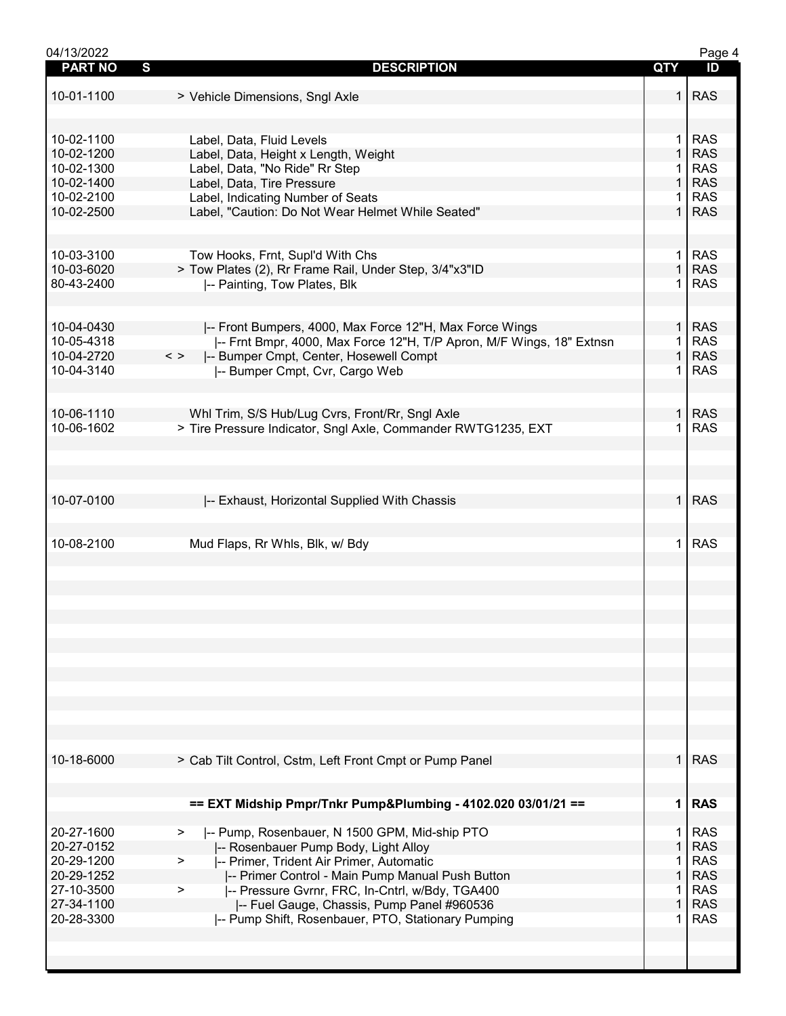| 04/13/2022     |                                                                       |                | Page 4     |
|----------------|-----------------------------------------------------------------------|----------------|------------|
| <b>PART NO</b> | S<br><b>DESCRIPTION</b>                                               | QTY            | ID         |
|                |                                                                       |                |            |
| 10-01-1100     | > Vehicle Dimensions, Sngl Axle                                       | $\mathbf{1}$   | <b>RAS</b> |
|                |                                                                       |                |            |
|                |                                                                       |                |            |
| 10-02-1100     | Label, Data, Fluid Levels                                             | $\mathbf 1$    | <b>RAS</b> |
| 10-02-1200     | Label, Data, Height x Length, Weight                                  | $\mathbf{1}$   | <b>RAS</b> |
| 10-02-1300     | Label, Data, "No Ride" Rr Step                                        | 1.             | <b>RAS</b> |
| 10-02-1400     | Label, Data, Tire Pressure                                            | $\mathbf{1}$   | <b>RAS</b> |
| 10-02-2100     | Label, Indicating Number of Seats                                     | 1              | <b>RAS</b> |
| 10-02-2500     | Label, "Caution: Do Not Wear Helmet While Seated"                     | $\mathbf 1$    | <b>RAS</b> |
|                |                                                                       |                |            |
|                |                                                                       |                |            |
| 10-03-3100     | Tow Hooks, Frnt, Supl'd With Chs                                      | $\mathbf 1$    | <b>RAS</b> |
| 10-03-6020     | > Tow Plates (2), Rr Frame Rail, Under Step, 3/4"x3"ID                | $\mathbf{1}$   | <b>RAS</b> |
| 80-43-2400     | -- Painting, Tow Plates, Blk                                          | 1              | <b>RAS</b> |
|                |                                                                       |                |            |
|                |                                                                       |                |            |
| 10-04-0430     | -- Front Bumpers, 4000, Max Force 12"H, Max Force Wings               | $\mathbf{1}$   | <b>RAS</b> |
| 10-05-4318     | I-- Frnt Bmpr, 4000, Max Force 12"H, T/P Apron, M/F Wings, 18" Extnsn |                | <b>RAS</b> |
| 10-04-2720     | $\,<\,>$<br>-- Bumper Cmpt, Center, Hosewell Compt                    | 1              | <b>RAS</b> |
| 10-04-3140     | -- Bumper Cmpt, Cvr, Cargo Web                                        |                | <b>RAS</b> |
|                |                                                                       |                |            |
|                |                                                                       |                |            |
| 10-06-1110     | Whl Trim, S/S Hub/Lug Cvrs, Front/Rr, Sngl Axle                       | $\mathbf{1}$   | <b>RAS</b> |
| 10-06-1602     | > Tire Pressure Indicator, Sngl Axle, Commander RWTG1235, EXT         | 1.             | <b>RAS</b> |
|                |                                                                       |                |            |
|                |                                                                       |                |            |
|                |                                                                       |                |            |
|                |                                                                       | $\mathbf 1$    | <b>RAS</b> |
| 10-07-0100     | -- Exhaust, Horizontal Supplied With Chassis                          |                |            |
|                |                                                                       |                |            |
| 10-08-2100     | Mud Flaps, Rr Whls, Blk, w/ Bdy                                       | 1.             | <b>RAS</b> |
|                |                                                                       |                |            |
|                |                                                                       |                |            |
|                |                                                                       |                |            |
|                |                                                                       |                |            |
|                |                                                                       |                |            |
|                |                                                                       |                |            |
|                |                                                                       |                |            |
|                |                                                                       |                |            |
|                |                                                                       |                |            |
|                |                                                                       |                |            |
|                |                                                                       |                |            |
|                |                                                                       |                |            |
|                |                                                                       |                |            |
|                |                                                                       |                |            |
| 10-18-6000     | > Cab Tilt Control, Cstm, Left Front Cmpt or Pump Panel               | 1 <sup>1</sup> | <b>RAS</b> |
|                |                                                                       |                |            |
|                |                                                                       |                |            |
|                | == EXT Midship Pmpr/Tnkr Pump&Plumbing - 4102.020 03/01/21 ==         | $\mathbf 1$    | <b>RAS</b> |
|                |                                                                       |                |            |
| 20-27-1600     | -- Pump, Rosenbauer, N 1500 GPM, Mid-ship PTO<br>>                    | 1.             | <b>RAS</b> |
| 20-27-0152     | -- Rosenbauer Pump Body, Light Alloy                                  | 1              | <b>RAS</b> |
| 20-29-1200     | -- Primer, Trident Air Primer, Automatic<br>$\geq$                    | 1              | <b>RAS</b> |
| 20-29-1252     | -- Primer Control - Main Pump Manual Push Button                      | $\mathbf{1}$   | <b>RAS</b> |
| 27-10-3500     | -- Pressure Gvrnr, FRC, In-Cntrl, w/Bdy, TGA400<br>$\geq$             | 1              | <b>RAS</b> |
| 27-34-1100     | -- Fuel Gauge, Chassis, Pump Panel #960536                            | 1              | <b>RAS</b> |
| 20-28-3300     | -- Pump Shift, Rosenbauer, PTO, Stationary Pumping                    |                | <b>RAS</b> |
|                |                                                                       |                |            |
|                |                                                                       |                |            |
|                |                                                                       |                |            |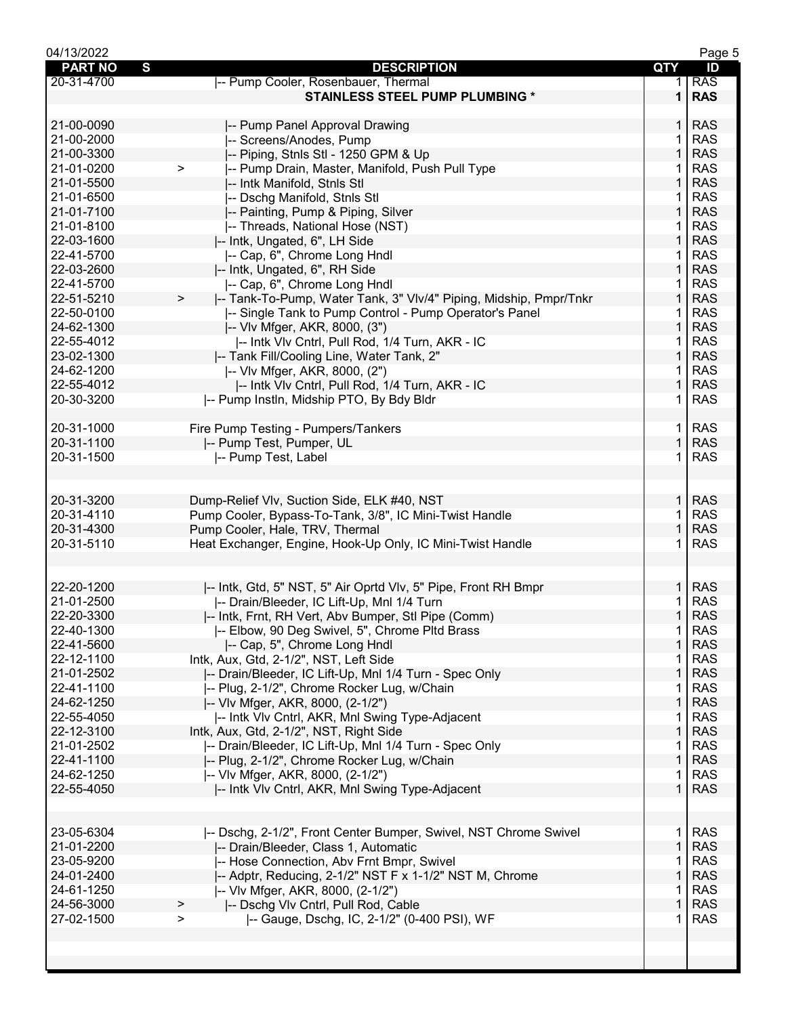| 04/13/2022          |                                                                             |              | Page 5     |
|---------------------|-----------------------------------------------------------------------------|--------------|------------|
| <b>PART NO</b><br>S | <b>DESCRIPTION</b>                                                          | QTY          | ID         |
| 20-31-4700          | -- Pump Cooler, Rosenbauer, Thermal                                         | 1.           | <b>RAS</b> |
|                     | <b>STAINLESS STEEL PUMP PLUMBING *</b>                                      | 1            | <b>RAS</b> |
|                     |                                                                             |              |            |
|                     |                                                                             |              |            |
| 21-00-0090          | -- Pump Panel Approval Drawing                                              | $\mathbf{1}$ | <b>RAS</b> |
| 21-00-2000          | -- Screens/Anodes, Pump                                                     | 1            | <b>RAS</b> |
| 21-00-3300          | -- Piping, Stnls Stl - 1250 GPM & Up                                        | $\mathbf{1}$ | <b>RAS</b> |
| 21-01-0200          | -- Pump Drain, Master, Manifold, Push Pull Type<br>$\geq$                   | 1.           | <b>RAS</b> |
| 21-01-5500          |                                                                             | $\mathbf{1}$ | <b>RAS</b> |
|                     | -- Intk Manifold, Stnls Stl                                                 |              |            |
| 21-01-6500          | -- Dschg Manifold, Stnls Stl                                                | 1            | <b>RAS</b> |
| 21-01-7100          | -- Painting, Pump & Piping, Silver                                          | 1            | <b>RAS</b> |
| 21-01-8100          | -- Threads, National Hose (NST)                                             | 1            | <b>RAS</b> |
| 22-03-1600          | I-- Intk, Ungated, 6", LH Side                                              | 1            | <b>RAS</b> |
| 22-41-5700          | -- Cap, 6", Chrome Long Hndl                                                | 1            | <b>RAS</b> |
| 22-03-2600          | -- Intk, Ungated, 6", RH Side                                               | $\mathbf{1}$ | <b>RAS</b> |
|                     |                                                                             |              |            |
| 22-41-5700          | -- Cap, 6", Chrome Long Hndl                                                | 1            | <b>RAS</b> |
| 22-51-5210          | -- Tank-To-Pump, Water Tank, 3" Vlv/4" Piping, Midship, Pmpr/Tnkr<br>$\geq$ | $\mathbf{1}$ | <b>RAS</b> |
| 22-50-0100          | -- Single Tank to Pump Control - Pump Operator's Panel                      | 1            | <b>RAS</b> |
| 24-62-1300          | -- VIv Mfger, AKR, 8000, (3")                                               | 1            | <b>RAS</b> |
| 22-55-4012          | -- Intk VIv Cntrl, Pull Rod, 1/4 Turn, AKR - IC                             | 1            | <b>RAS</b> |
| 23-02-1300          | -- Tank Fill/Cooling Line, Water Tank, 2"                                   | 1            | <b>RAS</b> |
|                     |                                                                             |              |            |
| 24-62-1200          | -- VIv Mfger, AKR, 8000, (2")                                               | 1            | <b>RAS</b> |
| 22-55-4012          | -- Intk VIv Cntrl, Pull Rod, 1/4 Turn, AKR - IC                             | $\mathbf{1}$ | <b>RAS</b> |
| 20-30-3200          | -- Pump Instin, Midship PTO, By Bdy Bldr                                    | 1            | <b>RAS</b> |
|                     |                                                                             |              |            |
| 20-31-1000          | Fire Pump Testing - Pumpers/Tankers                                         | 1.           | <b>RAS</b> |
| 20-31-1100          | -- Pump Test, Pumper, UL                                                    | 1            | <b>RAS</b> |
| 20-31-1500          |                                                                             | 1.           | <b>RAS</b> |
|                     | -- Pump Test, Label                                                         |              |            |
|                     |                                                                             |              |            |
|                     |                                                                             |              |            |
| 20-31-3200          | Dump-Relief Vlv, Suction Side, ELK #40, NST                                 | $\mathbf{1}$ | <b>RAS</b> |
| 20-31-4110          | Pump Cooler, Bypass-To-Tank, 3/8", IC Mini-Twist Handle                     | 1            | <b>RAS</b> |
| 20-31-4300          | Pump Cooler, Hale, TRV, Thermal                                             | $\mathbf{1}$ | <b>RAS</b> |
| 20-31-5110          | Heat Exchanger, Engine, Hook-Up Only, IC Mini-Twist Handle                  | 1            | <b>RAS</b> |
|                     |                                                                             |              |            |
|                     |                                                                             |              |            |
|                     |                                                                             |              |            |
| 22-20-1200          | -- Intk, Gtd, 5" NST, 5" Air Oprtd Vlv, 5" Pipe, Front RH Bmpr              | $\mathbf 1$  | <b>RAS</b> |
| 21-01-2500          | -- Drain/Bleeder, IC Lift-Up, Mnl 1/4 Turn                                  | 1            | <b>RAS</b> |
| 22-20-3300          | -- Intk, Frnt, RH Vert, Abv Bumper, Stl Pipe (Comm)                         | $\mathbf{1}$ | <b>RAS</b> |
| 22-40-1300          | -- Elbow, 90 Deg Swivel, 5", Chrome Pltd Brass                              | 1            | <b>RAS</b> |
| 22-41-5600          | -- Cap, 5", Chrome Long Hndl                                                | 1            | <b>RAS</b> |
| 22-12-1100          | Intk, Aux, Gtd, 2-1/2", NST, Left Side                                      | 1            | <b>RAS</b> |
|                     |                                                                             | 1            | <b>RAS</b> |
| 21-01-2502          | -- Drain/Bleeder, IC Lift-Up, Mnl 1/4 Turn - Spec Only                      |              |            |
| 22-41-1100          | -- Plug, 2-1/2", Chrome Rocker Lug, w/Chain                                 | 1            | <b>RAS</b> |
| 24-62-1250          | -- VIv Mfger, AKR, 8000, (2-1/2")                                           | 1            | <b>RAS</b> |
| 22-55-4050          | -- Intk VIv Cntrl, AKR, Mnl Swing Type-Adjacent                             | 1            | <b>RAS</b> |
| 22-12-3100          | Intk, Aux, Gtd, 2-1/2", NST, Right Side                                     | $\mathbf{1}$ | <b>RAS</b> |
| 21-01-2502          | -- Drain/Bleeder, IC Lift-Up, Mnl 1/4 Turn - Spec Only                      | 1            | <b>RAS</b> |
| 22-41-1100          | -- Plug, 2-1/2", Chrome Rocker Lug, w/Chain                                 | $\mathbf{1}$ | <b>RAS</b> |
| 24-62-1250          |                                                                             |              | <b>RAS</b> |
|                     | -- VIv Mfger, AKR, 8000, (2-1/2")                                           | 1            |            |
| 22-55-4050          | -- Intk VIv Cntrl, AKR, Mnl Swing Type-Adjacent                             | $\mathbf 1$  | <b>RAS</b> |
|                     |                                                                             |              |            |
|                     |                                                                             |              |            |
| 23-05-6304          | -- Dschg, 2-1/2", Front Center Bumper, Swivel, NST Chrome Swivel            | 1            | <b>RAS</b> |
| 21-01-2200          | -- Drain/Bleeder, Class 1, Automatic                                        | $\mathbf{1}$ | <b>RAS</b> |
| 23-05-9200          | -- Hose Connection, Abv Frnt Bmpr, Swivel                                   | 1            | <b>RAS</b> |
| 24-01-2400          | -- Adptr, Reducing, 2-1/2" NST F x 1-1/2" NST M, Chrome                     | 1            | <b>RAS</b> |
|                     |                                                                             |              |            |
| 24-61-1250          | -- VIv Mfger, AKR, 8000, (2-1/2")                                           | 1            | <b>RAS</b> |
| 24-56-3000          | -- Dschg Vlv Cntrl, Pull Rod, Cable<br>>                                    | 1            | <b>RAS</b> |
| 27-02-1500          | I-- Gauge, Dschg, IC, 2-1/2" (0-400 PSI), WF<br>$\geq$                      | 1            | <b>RAS</b> |
|                     |                                                                             |              |            |
|                     |                                                                             |              |            |
|                     |                                                                             |              |            |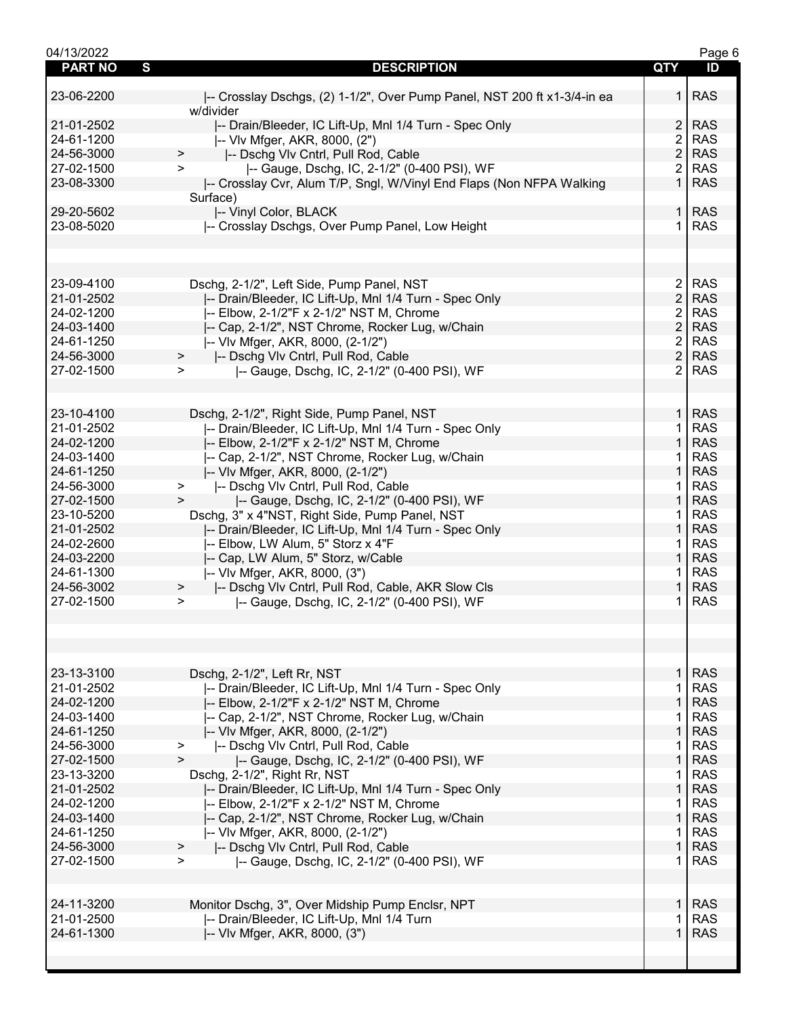| 04/13/2022          |                                                                          |                | Page 6     |
|---------------------|--------------------------------------------------------------------------|----------------|------------|
| S<br><b>PART NO</b> | <b>DESCRIPTION</b>                                                       | <b>QTY</b>     | ID         |
|                     |                                                                          |                |            |
| 23-06-2200          | -- Crosslay Dschgs, (2) 1-1/2", Over Pump Panel, NST 200 ft x1-3/4-in ea | 1 I            | <b>RAS</b> |
|                     | w/divider                                                                |                |            |
| 21-01-2502          | -- Drain/Bleeder, IC Lift-Up, Mnl 1/4 Turn - Spec Only                   | 2              | <b>RAS</b> |
| 24-61-1200          | -- VIv Mfger, AKR, 8000, (2")                                            | $\overline{2}$ | <b>RAS</b> |
| 24-56-3000          |                                                                          | $\overline{2}$ | <b>RAS</b> |
|                     | -- Dschg Vlv Cntrl, Pull Rod, Cable<br>>                                 |                |            |
| 27-02-1500          | -- Gauge, Dschg, IC, 2-1/2" (0-400 PSI), WF<br>$\geq$                    | $\overline{2}$ | <b>RAS</b> |
| 23-08-3300          | -- Crosslay Cvr, Alum T/P, Sngl, W/Vinyl End Flaps (Non NFPA Walking     | $\mathbf{1}$   | <b>RAS</b> |
|                     | Surface)                                                                 |                |            |
| 29-20-5602          | -- Vinyl Color, BLACK                                                    |                | 1 RAS      |
| 23-08-5020          | -- Crosslay Dschgs, Over Pump Panel, Low Height                          | 1.             | <b>RAS</b> |
|                     |                                                                          |                |            |
|                     |                                                                          |                |            |
|                     |                                                                          |                |            |
| 23-09-4100          |                                                                          | $\overline{2}$ | <b>RAS</b> |
|                     | Dschg, 2-1/2", Left Side, Pump Panel, NST                                |                |            |
| 21-01-2502          | -- Drain/Bleeder, IC Lift-Up, Mnl 1/4 Turn - Spec Only                   | $\overline{2}$ | <b>RAS</b> |
| 24-02-1200          | -- Elbow, 2-1/2"F x 2-1/2" NST M, Chrome                                 | $\overline{2}$ | <b>RAS</b> |
| 24-03-1400          | -- Cap, 2-1/2", NST Chrome, Rocker Lug, w/Chain                          | $\overline{2}$ | <b>RAS</b> |
| 24-61-1250          | I-- VIv Mfger, AKR, 8000, (2-1/2")                                       | $\overline{2}$ | <b>RAS</b> |
| 24-56-3000          | -- Dschg VIv Cntrl, Pull Rod, Cable<br>$\geq$                            | $\overline{2}$ | <b>RAS</b> |
| 27-02-1500          | -- Gauge, Dschg, IC, 2-1/2" (0-400 PSI), WF<br>$\geq$                    | $\overline{2}$ | <b>RAS</b> |
|                     |                                                                          |                |            |
|                     |                                                                          |                |            |
|                     |                                                                          | 1 <sup>1</sup> | <b>RAS</b> |
| 23-10-4100          | Dschg, 2-1/2", Right Side, Pump Panel, NST                               |                |            |
| 21-01-2502          | -- Drain/Bleeder, IC Lift-Up, Mnl 1/4 Turn - Spec Only                   | 1.             | <b>RAS</b> |
| 24-02-1200          | -- Elbow, 2-1/2"F x 2-1/2" NST M, Chrome                                 | $\mathbf 1$    | <b>RAS</b> |
| 24-03-1400          | -- Cap, 2-1/2", NST Chrome, Rocker Lug, w/Chain                          | 1              | <b>RAS</b> |
| 24-61-1250          | -- VIv Mfger, AKR, 8000, (2-1/2")                                        | $\mathbf{1}$   | <b>RAS</b> |
| 24-56-3000          | -- Dschg Vlv Cntrl, Pull Rod, Cable<br>$\, >$                            | 1.             | <b>RAS</b> |
| 27-02-1500          | -- Gauge, Dschg, IC, 2-1/2" (0-400 PSI), WF<br>$\, > \,$                 | $\mathbf{1}$   | <b>RAS</b> |
| 23-10-5200          | Dschg, 3" x 4"NST, Right Side, Pump Panel, NST                           | $\mathbf{1}$   | <b>RAS</b> |
| 21-01-2502          |                                                                          | $\mathbf{1}$   | <b>RAS</b> |
|                     | -- Drain/Bleeder, IC Lift-Up, Mnl 1/4 Turn - Spec Only                   |                |            |
| 24-02-2600          | -- Elbow, LW Alum, 5" Storz x 4"F                                        | 1.             | <b>RAS</b> |
| 24-03-2200          | -- Cap, LW Alum, 5" Storz, w/Cable                                       | $\mathbf 1$    | <b>RAS</b> |
| 24-61-1300          | -- VIv Mfger, AKR, 8000, (3")                                            | 1              | <b>RAS</b> |
| 24-56-3002          | I-- Dschg VIv Cntrl, Pull Rod, Cable, AKR Slow CIs<br>$\geq$             | $\mathbf{1}$   | <b>RAS</b> |
| 27-02-1500          | -- Gauge, Dschg, IC, 2-1/2" (0-400 PSI), WF<br>$\geq$                    | 1.             | <b>RAS</b> |
|                     |                                                                          |                |            |
|                     |                                                                          |                |            |
|                     |                                                                          |                |            |
|                     |                                                                          |                |            |
|                     |                                                                          |                |            |
| 23-13-3100          | Dschg, 2-1/2", Left Rr, NST                                              | 1 I            | <b>RAS</b> |
| 21-01-2502          | -- Drain/Bleeder, IC Lift-Up, Mnl 1/4 Turn - Spec Only                   | 1.             | <b>RAS</b> |
| 24-02-1200          | -- Elbow, 2-1/2"F x 2-1/2" NST M, Chrome                                 | $\mathbf{1}$   | <b>RAS</b> |
| 24-03-1400          | -- Cap, 2-1/2", NST Chrome, Rocker Lug, w/Chain                          | 1.             | <b>RAS</b> |
| 24-61-1250          | -- VIv Mfger, AKR, 8000, (2-1/2")                                        | $\mathbf{1}$   | <b>RAS</b> |
| 24-56-3000          | -- Dschg Vlv Cntrl, Pull Rod, Cable<br>$\, >$                            | $\mathbf{1}$   | <b>RAS</b> |
| 27-02-1500          | $\geq$<br> -- Gauge, Dschg, IC, 2-1/2" (0-400 PSI), WF                   | $\mathbf{1}$   | <b>RAS</b> |
| 23-13-3200          | Dschg, 2-1/2", Right Rr, NST                                             | 1.             | <b>RAS</b> |
| 21-01-2502          |                                                                          | $\mathbf 1$    | <b>RAS</b> |
|                     | -- Drain/Bleeder, IC Lift-Up, Mnl 1/4 Turn - Spec Only                   |                |            |
| 24-02-1200          | -- Elbow, 2-1/2"F x 2-1/2" NST M, Chrome                                 | 1.             | <b>RAS</b> |
| 24-03-1400          | -- Cap, 2-1/2", NST Chrome, Rocker Lug, w/Chain                          | $\mathbf{1}$   | <b>RAS</b> |
| 24-61-1250          | -- VIv Mfger, AKR, 8000, (2-1/2")                                        | 1.             | <b>RAS</b> |
| 24-56-3000          | -- Dschg VIv Cntrl, Pull Rod, Cable<br>$\geq$                            | 1 <sup>1</sup> | <b>RAS</b> |
| 27-02-1500          | -- Gauge, Dschg, IC, 2-1/2" (0-400 PSI), WF<br>$\geq$                    | 1.             | <b>RAS</b> |
|                     |                                                                          |                |            |
|                     |                                                                          |                |            |
| 24-11-3200          | Monitor Dschg, 3", Over Midship Pump Enclsr, NPT                         | 1 <sup>1</sup> | <b>RAS</b> |
|                     |                                                                          |                | <b>RAS</b> |
| 21-01-2500          | -- Drain/Bleeder, IC Lift-Up, Mnl 1/4 Turn                               | 1.             |            |
| 24-61-1300          | -- VIv Mfger, AKR, 8000, (3")                                            | $\mathbf 1$    | <b>RAS</b> |
|                     |                                                                          |                |            |
|                     |                                                                          |                |            |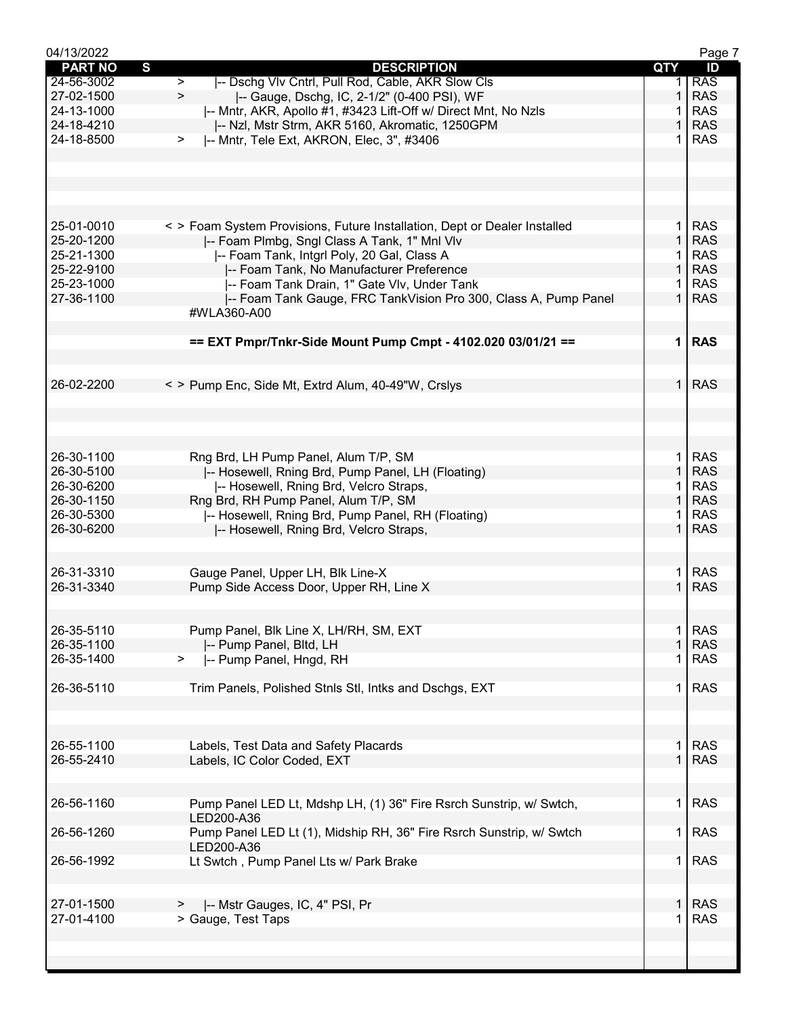| 04/13/2022     |                                                                                                                           |                | Page 7     |
|----------------|---------------------------------------------------------------------------------------------------------------------------|----------------|------------|
| <b>PART NO</b> | S<br><b>DESCRIPTION</b>                                                                                                   | QTY            | ID         |
| 24-56-3002     | I-- Dschg VIv Cntrl, Pull Rod, Cable, AKR Slow Cls<br>$\geq$                                                              |                | <b>RAS</b> |
| 27-02-1500     | $\geq$<br> -- Gauge, Dschg, IC, 2-1/2" (0-400 PSI), WF                                                                    | 1              | <b>RAS</b> |
| 24-13-1000     | -- Mntr, AKR, Apollo #1, #3423 Lift-Off w/ Direct Mnt, No Nzls                                                            |                | <b>RAS</b> |
| 24-18-4210     | -- Nzl, Mstr Strm, AKR 5160, Akromatic, 1250GPM                                                                           |                | <b>RAS</b> |
| 24-18-8500     | -- Mntr, Tele Ext, AKRON, Elec, 3", #3406<br>$\geq$                                                                       |                | <b>RAS</b> |
|                |                                                                                                                           |                |            |
|                |                                                                                                                           |                |            |
|                |                                                                                                                           |                |            |
|                |                                                                                                                           |                |            |
| 25-01-0010     |                                                                                                                           | 1.             | <b>RAS</b> |
| 25-20-1200     | < > Foam System Provisions, Future Installation, Dept or Dealer Installed<br>-- Foam Plmbg, Sngl Class A Tank, 1" Mnl Vlv | 1.             | <b>RAS</b> |
| 25-21-1300     | -- Foam Tank, Intgrl Poly, 20 Gal, Class A                                                                                |                | <b>RAS</b> |
| 25-22-9100     | -- Foam Tank, No Manufacturer Preference                                                                                  | $\mathbf{1}$   | <b>RAS</b> |
| 25-23-1000     | -- Foam Tank Drain, 1" Gate VIv, Under Tank                                                                               |                | <b>RAS</b> |
| 27-36-1100     | -- Foam Tank Gauge, FRC TankVision Pro 300, Class A, Pump Panel                                                           | $\mathbf{1}$   | <b>RAS</b> |
|                | #WLA360-A00                                                                                                               |                |            |
|                |                                                                                                                           |                |            |
|                | == EXT Pmpr/Tnkr-Side Mount Pump Cmpt - 4102.020 03/01/21 ==                                                              | 1 <sup>1</sup> | <b>RAS</b> |
|                |                                                                                                                           |                |            |
|                |                                                                                                                           |                |            |
| 26-02-2200     | < > Pump Enc, Side Mt, Extrd Alum, 40-49"W, Crslys                                                                        | 1.             | <b>RAS</b> |
|                |                                                                                                                           |                |            |
|                |                                                                                                                           |                |            |
|                |                                                                                                                           |                |            |
|                |                                                                                                                           |                |            |
| 26-30-1100     | Rng Brd, LH Pump Panel, Alum T/P, SM                                                                                      | 1.             | <b>RAS</b> |
| 26-30-5100     | -- Hosewell, Rning Brd, Pump Panel, LH (Floating)                                                                         | $\mathbf 1$    | <b>RAS</b> |
| 26-30-6200     | -- Hosewell, Rning Brd, Velcro Straps,                                                                                    |                | <b>RAS</b> |
| 26-30-1150     | Rng Brd, RH Pump Panel, Alum T/P, SM                                                                                      | $\mathbf{1}$   | <b>RAS</b> |
| 26-30-5300     | -- Hosewell, Rning Brd, Pump Panel, RH (Floating)                                                                         |                | <b>RAS</b> |
| 26-30-6200     | -- Hosewell, Rning Brd, Velcro Straps,                                                                                    | $\mathbf 1$    | <b>RAS</b> |
|                |                                                                                                                           |                |            |
|                |                                                                                                                           |                |            |
| 26-31-3310     | Gauge Panel, Upper LH, Blk Line-X                                                                                         | 1.             | <b>RAS</b> |
| 26-31-3340     | Pump Side Access Door, Upper RH, Line X                                                                                   |                | <b>RAS</b> |
|                |                                                                                                                           |                |            |
|                |                                                                                                                           |                |            |
| 26-35-5110     | Pump Panel, Blk Line X, LH/RH, SM, EXT                                                                                    | 1              | <b>RAS</b> |
| 26-35-1100     | -- Pump Panel, Bltd, LH                                                                                                   |                | <b>RAS</b> |
| 26-35-1400     | -- Pump Panel, Hngd, RH<br>>                                                                                              | 1              | <b>RAS</b> |
|                |                                                                                                                           |                |            |
| 26-36-5110     | Trim Panels, Polished Stnls Stl, Intks and Dschgs, EXT                                                                    | 1.             | <b>RAS</b> |
|                |                                                                                                                           |                |            |
|                |                                                                                                                           |                |            |
| 26-55-1100     | Labels, Test Data and Safety Placards                                                                                     | $\mathbf 1$    | <b>RAS</b> |
| 26-55-2410     | Labels, IC Color Coded, EXT                                                                                               | $\mathbf{1}$   | <b>RAS</b> |
|                |                                                                                                                           |                |            |
|                |                                                                                                                           |                |            |
| 26-56-1160     | Pump Panel LED Lt, Mdshp LH, (1) 36" Fire Rsrch Sunstrip, w/ Swtch,                                                       | 1.             | <b>RAS</b> |
|                | LED200-A36                                                                                                                |                |            |
| 26-56-1260     | Pump Panel LED Lt (1), Midship RH, 36" Fire Rsrch Sunstrip, w/ Swtch                                                      | 1.             | <b>RAS</b> |
|                | LED200-A36                                                                                                                |                |            |
| 26-56-1992     | Lt Swtch, Pump Panel Lts w/ Park Brake                                                                                    | $\mathbf 1$    | <b>RAS</b> |
|                |                                                                                                                           |                |            |
|                |                                                                                                                           |                |            |
| 27-01-1500     | -- Mstr Gauges, IC, 4" PSI, Pr                                                                                            | $\mathbf{1}$   | <b>RAS</b> |
| 27-01-4100     | > Gauge, Test Taps                                                                                                        | 1              | <b>RAS</b> |
|                |                                                                                                                           |                |            |
|                |                                                                                                                           |                |            |
|                |                                                                                                                           |                |            |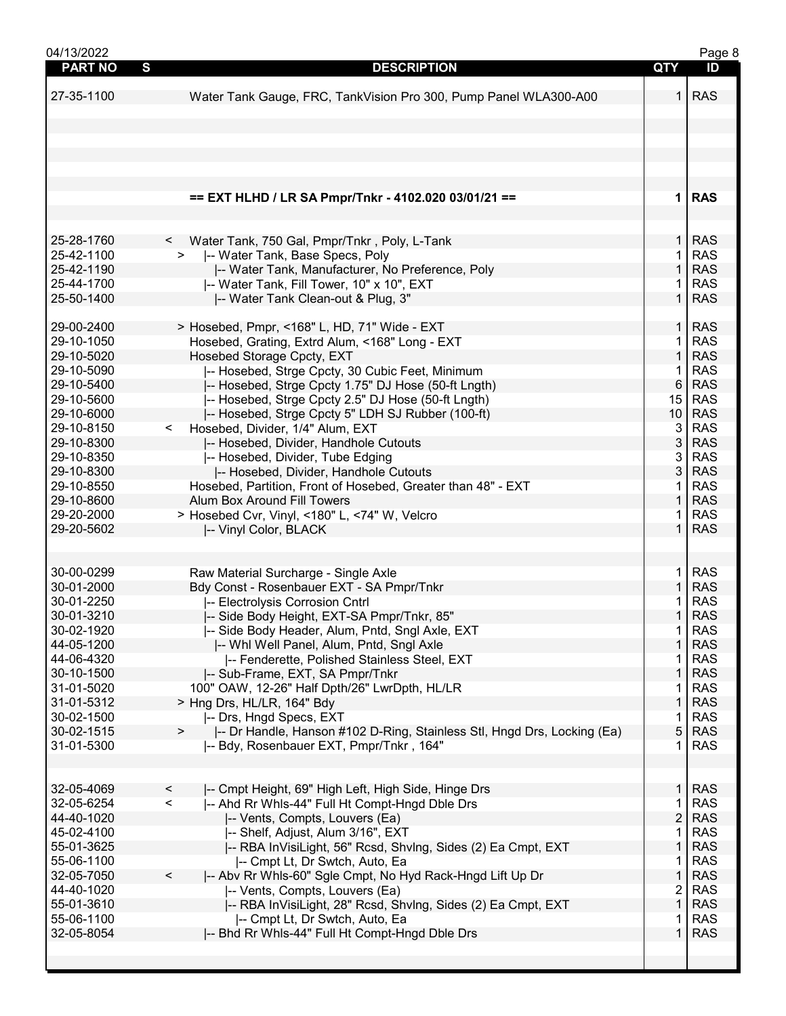| 04/13/2022     |                                                                                   |                 | Page 8     |
|----------------|-----------------------------------------------------------------------------------|-----------------|------------|
| <b>PART NO</b> | S<br><b>DESCRIPTION</b>                                                           | QTY             | ID         |
|                |                                                                                   |                 |            |
| 27-35-1100     | Water Tank Gauge, FRC, TankVision Pro 300, Pump Panel WLA300-A00                  | 1               | <b>RAS</b> |
|                |                                                                                   |                 |            |
|                |                                                                                   |                 |            |
|                |                                                                                   |                 |            |
|                |                                                                                   |                 |            |
|                |                                                                                   |                 |            |
|                |                                                                                   |                 |            |
|                |                                                                                   |                 |            |
|                |                                                                                   |                 |            |
|                | == EXT HLHD / LR SA Pmpr/Tnkr - 4102.020 03/01/21 ==                              | $\mathbf 1$     | <b>RAS</b> |
|                |                                                                                   |                 |            |
|                |                                                                                   |                 |            |
| 25-28-1760     | Water Tank, 750 Gal, Pmpr/Tnkr, Poly, L-Tank<br>$\lt$                             | $\mathbf{1}$    | <b>RAS</b> |
|                |                                                                                   |                 |            |
| 25-42-1100     | -- Water Tank, Base Specs, Poly                                                   | 1               | <b>RAS</b> |
| 25-42-1190     | -- Water Tank, Manufacturer, No Preference, Poly                                  | $\mathbf{1}$    | <b>RAS</b> |
| 25-44-1700     | -- Water Tank, Fill Tower, 10" x 10", EXT                                         | 1               | <b>RAS</b> |
| 25-50-1400     | -- Water Tank Clean-out & Plug, 3"                                                | $\mathbf{1}$    | <b>RAS</b> |
|                |                                                                                   |                 |            |
|                |                                                                                   |                 |            |
| 29-00-2400     | > Hosebed, Pmpr, <168" L, HD, 71" Wide - EXT                                      | $\mathbf 1$     | <b>RAS</b> |
| 29-10-1050     | Hosebed, Grating, Extrd Alum, <168" Long - EXT                                    | 1               | <b>RAS</b> |
| 29-10-5020     | Hosebed Storage Cpcty, EXT                                                        | 1               | <b>RAS</b> |
| 29-10-5090     | -- Hosebed, Strge Cpcty, 30 Cubic Feet, Minimum                                   | 1               | <b>RAS</b> |
| 29-10-5400     | -- Hosebed, Strge Cpcty 1.75" DJ Hose (50-ft Lngth)                               | 6               | <b>RAS</b> |
| 29-10-5600     | -- Hosebed, Strge Cpcty 2.5" DJ Hose (50-ft Lngth)                                | 15              | <b>RAS</b> |
|                |                                                                                   |                 |            |
| 29-10-6000     | -- Hosebed, Strge Cpcty 5" LDH SJ Rubber (100-ft)                                 | 10 <sup>1</sup> | <b>RAS</b> |
| 29-10-8150     | Hosebed, Divider, 1/4" Alum, EXT<br>$\lt$                                         | 3               | <b>RAS</b> |
| 29-10-8300     | -- Hosebed, Divider, Handhole Cutouts                                             | 3               | <b>RAS</b> |
| 29-10-8350     | -- Hosebed, Divider, Tube Edging                                                  | 3               | <b>RAS</b> |
| 29-10-8300     | -- Hosebed, Divider, Handhole Cutouts                                             | 3               | <b>RAS</b> |
| 29-10-8550     |                                                                                   |                 |            |
|                | Hosebed, Partition, Front of Hosebed, Greater than 48" - EXT                      | 1               | <b>RAS</b> |
| 29-10-8600     | Alum Box Around Fill Towers                                                       | $\mathbf{1}$    | <b>RAS</b> |
| 29-20-2000     | > Hosebed Cvr, Vinyl, <180" L, <74" W, Velcro                                     | 1               | <b>RAS</b> |
| 29-20-5602     | -- Vinyl Color, BLACK                                                             | $\mathbf{1}$    | <b>RAS</b> |
|                |                                                                                   |                 |            |
|                |                                                                                   |                 |            |
| 30-00-0299     |                                                                                   | 1.              | <b>RAS</b> |
|                | Raw Material Surcharge - Single Axle                                              |                 |            |
| 30-01-2000     | Bdy Const - Rosenbauer EXT - SA Pmpr/Tnkr                                         | $\mathbf{1}$    | <b>RAS</b> |
| 30-01-2250     | -- Electrolysis Corrosion Cntrl                                                   | 1               | <b>RAS</b> |
| 30-01-3210     | -- Side Body Height, EXT-SA Pmpr/Tnkr, 85"                                        | 1               | <b>RAS</b> |
| 30-02-1920     | -- Side Body Header, Alum, Pntd, Sngl Axle, EXT                                   | 1               | <b>RAS</b> |
| 44-05-1200     | -- Whi Well Panel, Alum, Pntd, Sngl Axle                                          | 1               | <b>RAS</b> |
| 44-06-4320     |                                                                                   |                 | <b>RAS</b> |
|                | -- Fenderette, Polished Stainless Steel, EXT                                      |                 |            |
| 30-10-1500     | -- Sub-Frame, EXT, SA Pmpr/Tnkr                                                   | 1               | <b>RAS</b> |
| 31-01-5020     | 100" OAW, 12-26" Half Dpth/26" LwrDpth, HL/LR                                     | 1               | <b>RAS</b> |
| 31-01-5312     | > Hng Drs, HL/LR, 164" Bdy                                                        | 1               | <b>RAS</b> |
| 30-02-1500     | -- Drs, Hngd Specs, EXT                                                           | 1               | <b>RAS</b> |
| 30-02-1515     | -- Dr Handle, Hanson #102 D-Ring, Stainless Stl, Hngd Drs, Locking (Ea)<br>$\geq$ | 5               | <b>RAS</b> |
| 31-01-5300     | I-- Bdy, Rosenbauer EXT, Pmpr/Tnkr, 164"                                          | 1               | <b>RAS</b> |
|                |                                                                                   |                 |            |
|                |                                                                                   |                 |            |
|                |                                                                                   |                 |            |
| 32-05-4069     | $\,<\,$<br>-- Cmpt Height, 69" High Left, High Side, Hinge Drs                    | 1               | <b>RAS</b> |
| 32-05-6254     | $\overline{\phantom{a}}$<br>-- Ahd Rr Whls-44" Full Ht Compt-Hngd Dble Drs        | 1               | <b>RAS</b> |
| 44-40-1020     | -- Vents, Compts, Louvers (Ea)                                                    | $\overline{2}$  | <b>RAS</b> |
| 45-02-4100     | -- Shelf, Adjust, Alum 3/16", EXT                                                 | 1               | <b>RAS</b> |
|                |                                                                                   |                 |            |
| 55-01-3625     | -- RBA InVisiLight, 56" Rcsd, ShvIng, Sides (2) Ea Cmpt, EXT                      | $\mathbf{1}$    | <b>RAS</b> |
| 55-06-1100     | -- Cmpt Lt, Dr Swtch, Auto, Ea                                                    | 1               | <b>RAS</b> |
| 32-05-7050     | -- Abv Rr Whls-60" Sgle Cmpt, No Hyd Rack-Hngd Lift Up Dr<br>$\,<\,$              | 1               | <b>RAS</b> |
| 44-40-1020     | -- Vents, Compts, Louvers (Ea)                                                    | 2               | <b>RAS</b> |
| 55-01-3610     | -- RBA InVisiLight, 28" Rcsd, ShvIng, Sides (2) Ea Cmpt, EXT                      | 1               | <b>RAS</b> |
| 55-06-1100     | -- Cmpt Lt, Dr Swtch, Auto, Ea                                                    | 1               | <b>RAS</b> |
|                |                                                                                   |                 |            |
| 32-05-8054     | -- Bhd Rr Whls-44" Full Ht Compt-Hngd Dble Drs                                    | 1               | <b>RAS</b> |
|                |                                                                                   |                 |            |
|                |                                                                                   |                 |            |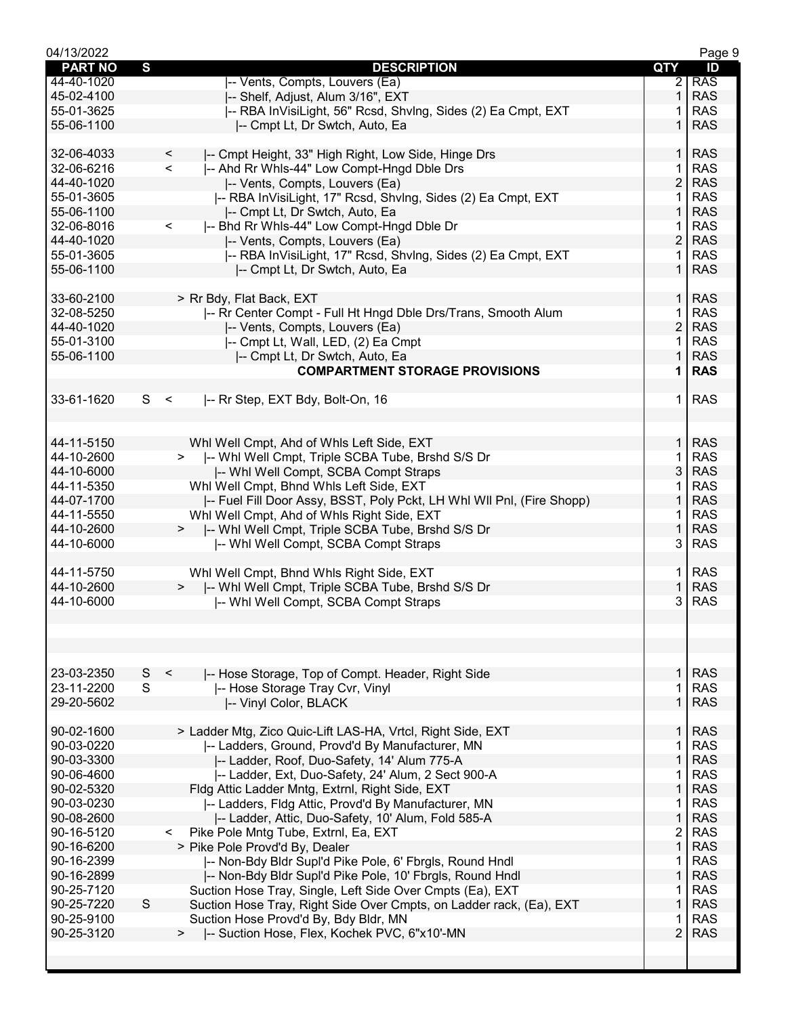| 04/13/2022               |                                                                                                       |                       | Page 9                   |
|--------------------------|-------------------------------------------------------------------------------------------------------|-----------------------|--------------------------|
| <b>PART NO</b>           | S<br><b>DESCRIPTION</b>                                                                               | QTY                   | ID                       |
| 44-40-1020               | -- Vents, Compts, Louvers (Ea)                                                                        | $\mathbf{2}^{\prime}$ | <b>RAS</b>               |
| 45-02-4100               | I-- Shelf, Adjust, Alum 3/16", EXT                                                                    | 1.                    | <b>RAS</b>               |
| 55-01-3625               | -- RBA InVisiLight, 56" Rcsd, ShvIng, Sides (2) Ea Cmpt, EXT                                          |                       | <b>RAS</b>               |
| 55-06-1100               | I-- Cmpt Lt, Dr Swtch, Auto, Ea                                                                       |                       | <b>RAS</b>               |
|                          |                                                                                                       |                       |                          |
| 32-06-4033               | $\,<\,$<br>-- Cmpt Height, 33" High Right, Low Side, Hinge Drs                                        | $\mathbf{1}$          | <b>RAS</b>               |
| 32-06-6216               | $\,<$<br>-- Ahd Rr Whls-44" Low Compt-Hngd Dble Drs                                                   | $\mathbf 1$           | <b>RAS</b>               |
| 44-40-1020               | -- Vents, Compts, Louvers (Ea)                                                                        | $\overline{2}$        | <b>RAS</b>               |
| 55-01-3605               | -- RBA InVisiLight, 17" Rcsd, ShvIng, Sides (2) Ea Cmpt, EXT                                          | 1.                    | <b>RAS</b>               |
| 55-06-1100               | -- Cmpt Lt, Dr Swtch, Auto, Ea                                                                        | 1                     | <b>RAS</b>               |
| 32-06-8016               | -- Bhd Rr Whls-44" Low Compt-Hngd Dble Dr<br>$\prec$                                                  |                       | <b>RAS</b>               |
| 44-40-1020               | -- Vents, Compts, Louvers (Ea)                                                                        | $\overline{2}$        | <b>RAS</b>               |
| 55-01-3605               | -- RBA InVisiLight, 17" Rcsd, ShvIng, Sides (2) Ea Cmpt, EXT                                          | 1.                    | <b>RAS</b>               |
| 55-06-1100               | -- Cmpt Lt, Dr Swtch, Auto, Ea                                                                        | $\mathbf 1$           | <b>RAS</b>               |
|                          |                                                                                                       |                       |                          |
| 33-60-2100               | > Rr Bdy, Flat Back, EXT                                                                              | $\mathbf 1$           | <b>RAS</b>               |
| 32-08-5250               | I-- Rr Center Compt - Full Ht Hngd Dble Drs/Trans, Smooth Alum                                        | 1                     | <b>RAS</b>               |
| 44-40-1020               | -- Vents, Compts, Louvers (Ea)                                                                        | $\overline{2}$        | <b>RAS</b>               |
| 55-01-3100               | -- Cmpt Lt, Wall, LED, (2) Ea Cmpt                                                                    | 1.                    | <b>RAS</b>               |
| 55-06-1100               | -- Cmpt Lt, Dr Swtch, Auto, Ea                                                                        | 1                     | <b>RAS</b>               |
|                          | <b>COMPARTMENT STORAGE PROVISIONS</b>                                                                 | 1                     | <b>RAS</b>               |
|                          |                                                                                                       |                       |                          |
| 33-61-1620               | S <<br>-- Rr Step, EXT Bdy, Bolt-On, 16                                                               | 1.                    | <b>RAS</b>               |
|                          |                                                                                                       |                       |                          |
|                          |                                                                                                       |                       |                          |
| 44-11-5150               | Whl Well Cmpt, Ahd of Whls Left Side, EXT                                                             | 1.                    | <b>RAS</b>               |
| 44-10-2600               | -- Whl Well Cmpt, Triple SCBA Tube, Brshd S/S Dr<br>$>$ $\sim$                                        | 1                     | <b>RAS</b>               |
| 44-10-6000               | -- Whi Well Compt, SCBA Compt Straps                                                                  | 3                     | <b>RAS</b>               |
| 44-11-5350               | Whl Well Cmpt, Bhnd Whls Left Side, EXT                                                               | 1                     | <b>RAS</b>               |
| 44-07-1700               | -- Fuel Fill Door Assy, BSST, Poly Pckt, LH Whl WII Pnl, (Fire Shopp)                                 | $\mathbf{1}$          | <b>RAS</b>               |
| 44-11-5550               | Whl Well Cmpt, Ahd of Whls Right Side, EXT                                                            | 1.                    | <b>RAS</b>               |
| 44-10-2600               | >  -- Whl Well Cmpt, Triple SCBA Tube, Brshd S/S Dr                                                   | $\mathbf{1}$          | <b>RAS</b>               |
| 44-10-6000               | -- Whi Well Compt, SCBA Compt Straps                                                                  | 3                     | <b>RAS</b>               |
|                          |                                                                                                       |                       |                          |
| 44-11-5750               | Whl Well Cmpt, Bhnd Whls Right Side, EXT                                                              | 1.                    | <b>RAS</b>               |
| 44-10-2600               | >  -- Whi Well Cmpt, Triple SCBA Tube, Brshd S/S Dr                                                   | 1.                    | <b>RAS</b>               |
| 44-10-6000               | -- Whi Well Compt, SCBA Compt Straps                                                                  | 3                     | <b>RAS</b>               |
|                          |                                                                                                       |                       |                          |
|                          |                                                                                                       |                       |                          |
|                          |                                                                                                       |                       |                          |
|                          |                                                                                                       |                       |                          |
| 23-03-2350               | S <<br>-- Hose Storage, Top of Compt. Header, Right Side                                              | $\mathbf{1}$          | <b>RAS</b>               |
| 23-11-2200               | S<br>-- Hose Storage Tray Cvr, Vinyl                                                                  | 1                     | <b>RAS</b>               |
| 29-20-5602               | -- Vinyl Color, BLACK                                                                                 | $\mathbf{1}$          | <b>RAS</b>               |
|                          |                                                                                                       |                       |                          |
| 90-02-1600               | > Ladder Mtg, Zico Quic-Lift LAS-HA, Vrtcl, Right Side, EXT                                           | $\mathbf{1}$          | <b>RAS</b>               |
| 90-03-0220               | -- Ladders, Ground, Provd'd By Manufacturer, MN                                                       | 1                     | <b>RAS</b>               |
| 90-03-3300               | -- Ladder, Roof, Duo-Safety, 14' Alum 775-A                                                           | $\mathbf{1}$          | <b>RAS</b>               |
| 90-06-4600               | -- Ladder, Ext, Duo-Safety, 24' Alum, 2 Sect 900-A                                                    | 1<br>1                | <b>RAS</b><br><b>RAS</b> |
| 90-02-5320               | Fldg Attic Ladder Mntg, Extrnl, Right Side, EXT                                                       | 1                     | <b>RAS</b>               |
| 90-03-0230<br>90-08-2600 | -- Ladders, Fldg Attic, Provd'd By Manufacturer, MN                                                   | $\mathbf{1}$          | <b>RAS</b>               |
| 90-16-5120               | -- Ladder, Attic, Duo-Safety, 10' Alum, Fold 585-A<br>Pike Pole Mntg Tube, Extrnl, Ea, EXT<br>$\prec$ | 2                     | <b>RAS</b>               |
| 90-16-6200               | > Pike Pole Provd'd By, Dealer                                                                        | $\mathbf{1}$          | <b>RAS</b>               |
| 90-16-2399               | -- Non-Bdy Bldr Supl'd Pike Pole, 6' Fbrgls, Round Hndl                                               | $\mathbf{1}$          | <b>RAS</b>               |
| 90-16-2899               | -- Non-Bdy Bldr Supl'd Pike Pole, 10' Fbrgls, Round Hndl                                              | $\mathbf{1}$          | <b>RAS</b>               |
| 90-25-7120               | Suction Hose Tray, Single, Left Side Over Cmpts (Ea), EXT                                             | $\mathbf 1$           | <b>RAS</b>               |
| 90-25-7220               | S<br>Suction Hose Tray, Right Side Over Cmpts, on Ladder rack, (Ea), EXT                              | 1                     | <b>RAS</b>               |
| 90-25-9100               | Suction Hose Provd'd By, Bdy Bldr, MN                                                                 | 1                     | <b>RAS</b>               |
| 90-25-3120               | -- Suction Hose, Flex, Kochek PVC, 6"x10'-MN<br>$\,>\,$                                               | $\overline{2}$        | <b>RAS</b>               |
|                          |                                                                                                       |                       |                          |
|                          |                                                                                                       |                       |                          |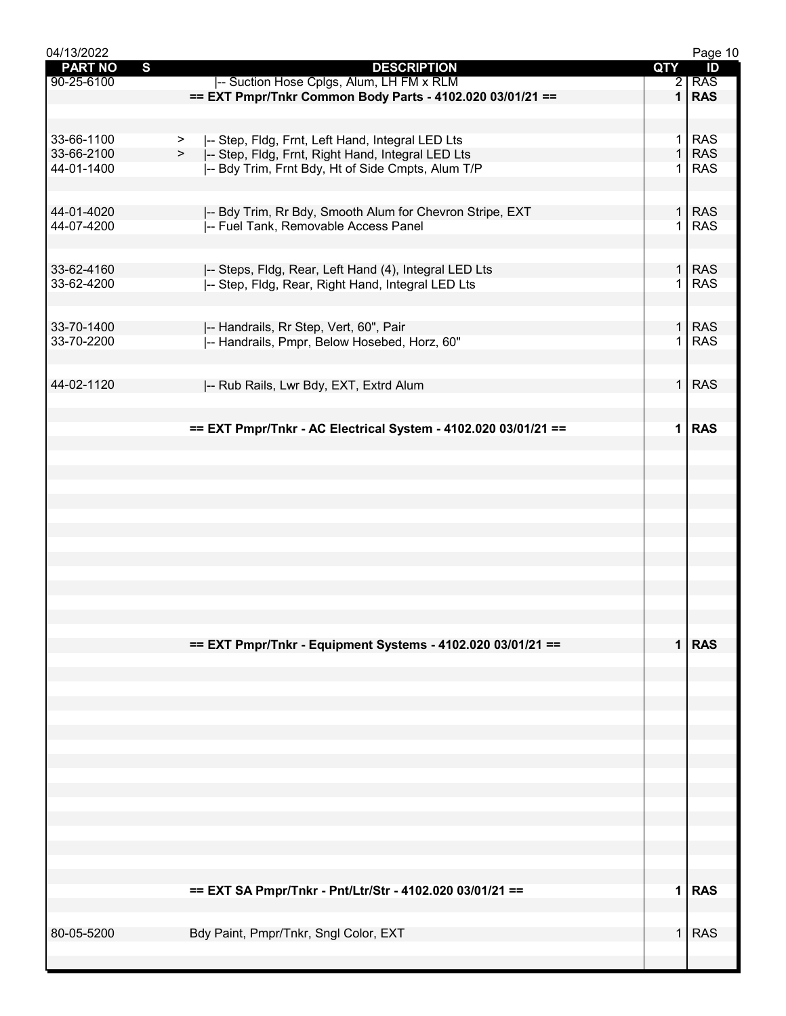| 04/13/2022                     |                                                                |              | Page 10    |
|--------------------------------|----------------------------------------------------------------|--------------|------------|
| $\mathbf{s}$<br><b>PART NO</b> | <b>DESCRIPTION</b>                                             | QTY          | ID         |
| 90-25-6100                     | -- Suction Hose Cplgs, Alum, LH FM x RLM                       |              | $2$ RAS    |
|                                | == EXT Pmpr/Tnkr Common Body Parts - 4102.020 03/01/21 ==      | 1            | <b>RAS</b> |
|                                |                                                                |              |            |
| 33-66-1100                     | -- Step, Fldg, Frnt, Left Hand, Integral LED Lts<br>>          | $\mathbf{1}$ | <b>RAS</b> |
| 33-66-2100                     | -- Step, Fldg, Frnt, Right Hand, Integral LED Lts<br>>         | $\mathbf{1}$ | <b>RAS</b> |
| 44-01-1400                     | -- Bdy Trim, Frnt Bdy, Ht of Side Cmpts, Alum T/P              | 1            | <b>RAS</b> |
|                                |                                                                |              |            |
| 44-01-4020                     | I-- Bdy Trim, Rr Bdy, Smooth Alum for Chevron Stripe, EXT      | 1            | <b>RAS</b> |
| 44-07-4200                     | -- Fuel Tank, Removable Access Panel                           | $\mathbf{1}$ | <b>RAS</b> |
|                                |                                                                |              |            |
|                                |                                                                |              |            |
| 33-62-4160                     | -- Steps, Fldg, Rear, Left Hand (4), Integral LED Lts          | $\mathbf{1}$ | <b>RAS</b> |
| 33-62-4200                     | -- Step, Fldg, Rear, Right Hand, Integral LED Lts              | 1            | <b>RAS</b> |
|                                |                                                                |              |            |
| 33-70-1400                     | -- Handrails, Rr Step, Vert, 60", Pair                         |              | $1$ RAS    |
| 33-70-2200                     | -- Handrails, Pmpr, Below Hosebed, Horz, 60"                   | $\mathbf{1}$ | <b>RAS</b> |
|                                |                                                                |              |            |
| 44-02-1120                     |                                                                | $\mathbf{1}$ | <b>RAS</b> |
|                                | -- Rub Rails, Lwr Bdy, EXT, Extrd Alum                         |              |            |
|                                |                                                                |              |            |
|                                | == EXT Pmpr/Tnkr - AC Electrical System - 4102.020 03/01/21 == | $\mathbf{1}$ | <b>RAS</b> |
|                                |                                                                |              |            |
|                                |                                                                |              |            |
|                                |                                                                |              |            |
|                                |                                                                |              |            |
|                                |                                                                |              |            |
|                                |                                                                |              |            |
|                                |                                                                |              |            |
|                                |                                                                |              |            |
|                                |                                                                |              |            |
|                                |                                                                |              |            |
|                                |                                                                |              |            |
|                                |                                                                |              |            |
|                                | == EXT Pmpr/Tnkr - Equipment Systems - 4102.020 03/01/21 ==    |              | $1$ RAS    |
|                                |                                                                |              |            |
|                                |                                                                |              |            |
|                                |                                                                |              |            |
|                                |                                                                |              |            |
|                                |                                                                |              |            |
|                                |                                                                |              |            |
|                                |                                                                |              |            |
|                                |                                                                |              |            |
|                                |                                                                |              |            |
|                                |                                                                |              |            |
|                                |                                                                |              |            |
|                                |                                                                |              |            |
|                                |                                                                |              |            |
|                                | == EXT SA Pmpr/Tnkr - Pnt/Ltr/Str - 4102.020 03/01/21 ==       |              | 1 RAS      |
|                                |                                                                |              |            |
| 80-05-5200                     | Bdy Paint, Pmpr/Tnkr, Sngl Color, EXT                          | $\mathbf 1$  | <b>RAS</b> |
|                                |                                                                |              |            |
|                                |                                                                |              |            |